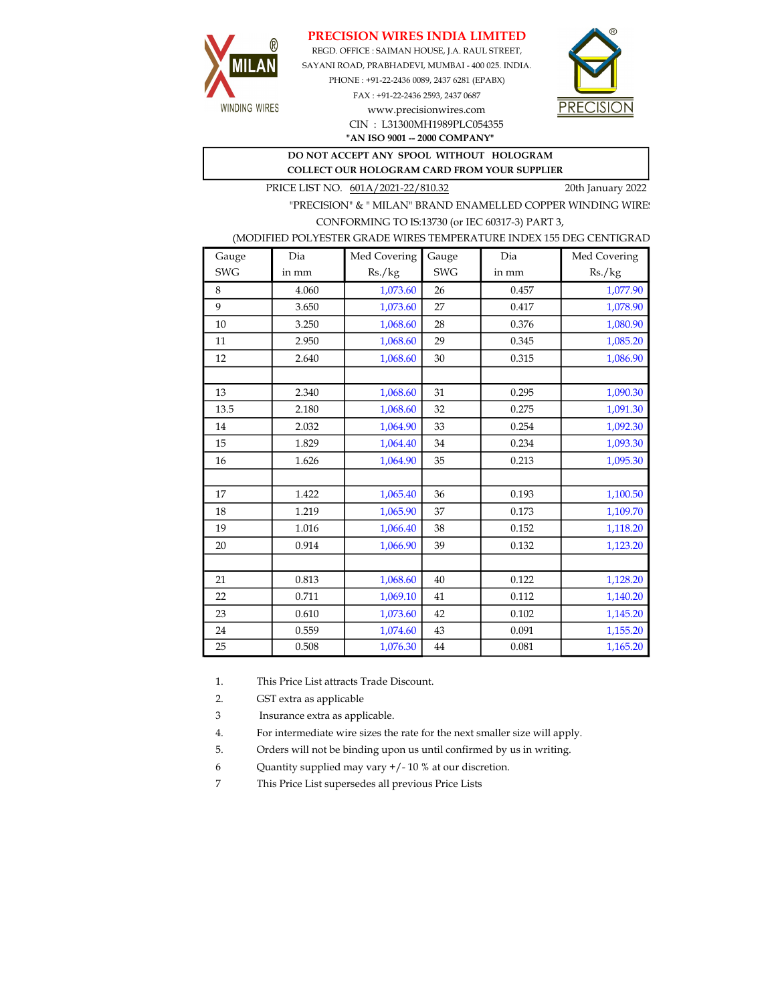## PRECISION WIRES INDIA LIMITED



REGD. OFFICE : SAIMAN HOUSE, J.A. RAUL STREET, SAYANI ROAD, PRABHADEVI, MUMBAI - 400 025. INDIA. PHONE : +91-22-2436 0089, 2437 6281 (EPABX)

> FAX : +91-22-2436 2593, 2437 0687 www.precisionwires.com CIN : L31300MH1989PLC054355



"AN ISO 9001 -- 2000 COMPANY"

DO NOT ACCEPT ANY SPOOL WITHOUT HOLOGRAM COLLECT OUR HOLOGRAM CARD FROM YOUR SUPPLIER

PRICE LIST NO.  $601A/2021-22/810.32$  20th January 2022

"PRECISION" & " MILAN" BRAND ENAMELLED COPPER WINDING WIRE CONFORMING TO IS:13730 (or IEC 60317-3) PART 3,

|  | (MODIFIED POLYESTER GRADE WIRES TEMPERATURE INDEX 155 DEG CENTIGRAD |  |
|--|---------------------------------------------------------------------|--|
|  |                                                                     |  |

| Gauge      | Dia   | Med Covering | Gauge      | Dia   | Med Covering |
|------------|-------|--------------|------------|-------|--------------|
| <b>SWG</b> | in mm | Rs./kg       | <b>SWG</b> | in mm | Rs./kg       |
| 8          | 4.060 | 1,073.60     | 26         | 0.457 | 1,077.90     |
| 9          | 3.650 | 1,073.60     | 27         | 0.417 | 1,078.90     |
| 10         | 3.250 | 1,068.60     | 28         | 0.376 | 1,080.90     |
| 11         | 2.950 | 1,068.60     | 29         | 0.345 | 1,085.20     |
| 12         | 2.640 | 1,068.60     | 30         | 0.315 | 1,086.90     |
|            |       |              |            |       |              |
| 13         | 2.340 | 1,068.60     | 31         | 0.295 | 1,090.30     |
| 13.5       | 2.180 | 1,068.60     | 32         | 0.275 | 1,091.30     |
| 14         | 2.032 | 1,064.90     | 33         | 0.254 | 1,092.30     |
| 15         | 1.829 | 1,064.40     | 34         | 0.234 | 1,093.30     |
| 16         | 1.626 | 1,064.90     | 35         | 0.213 | 1,095.30     |
|            |       |              |            |       |              |
| 17         | 1.422 | 1,065.40     | 36         | 0.193 | 1,100.50     |
| 18         | 1.219 | 1,065.90     | 37         | 0.173 | 1,109.70     |
| 19         | 1.016 | 1,066.40     | 38         | 0.152 | 1,118.20     |
| 20         | 0.914 | 1,066.90     | 39         | 0.132 | 1,123.20     |
|            |       |              |            |       |              |
| 21         | 0.813 | 1,068.60     | 40         | 0.122 | 1,128.20     |
| 22         | 0.711 | 1,069.10     | 41         | 0.112 | 1,140.20     |
| 23         | 0.610 | 1,073.60     | 42         | 0.102 | 1,145.20     |
| 24         | 0.559 | 1,074.60     | 43         | 0.091 | 1,155.20     |
| 25         | 0.508 | 1,076.30     | 44         | 0.081 | 1,165.20     |

1. This Price List attracts Trade Discount.

2. GST extra as applicable

3 Insurance extra as applicable.

4. For intermediate wire sizes the rate for the next smaller size will apply.

5. Orders will not be binding upon us until confirmed by us in writing.

6 Quantity supplied may vary +/- 10 % at our discretion.

7 This Price List supersedes all previous Price Lists